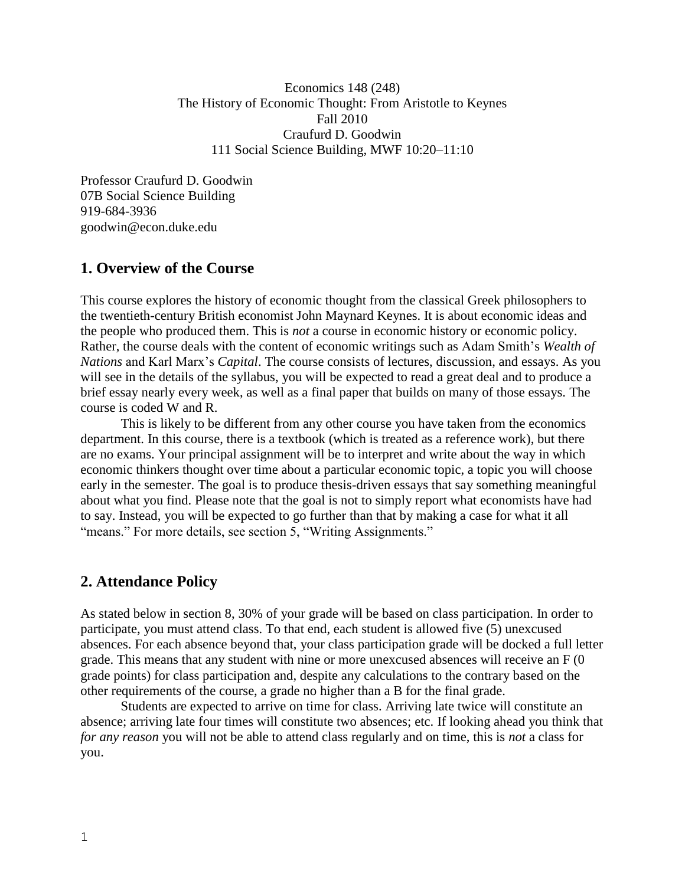Economics 148 (248) The History of Economic Thought: From Aristotle to Keynes Fall 2010 Craufurd D. Goodwin 111 Social Science Building, MWF 10:20–11:10

Professor Craufurd D. Goodwin 07B Social Science Building 919-684-3936 goodwin@econ.duke.edu

### **1. Overview of the Course**

This course explores the history of economic thought from the classical Greek philosophers to the twentieth-century British economist John Maynard Keynes. It is about economic ideas and the people who produced them. This is *not* a course in economic history or economic policy. Rather, the course deals with the content of economic writings such as Adam Smith's *Wealth of Nations* and Karl Marx's *Capital*. The course consists of lectures, discussion, and essays. As you will see in the details of the syllabus, you will be expected to read a great deal and to produce a brief essay nearly every week, as well as a final paper that builds on many of those essays. The course is coded W and R.

This is likely to be different from any other course you have taken from the economics department. In this course, there is a textbook (which is treated as a reference work), but there are no exams. Your principal assignment will be to interpret and write about the way in which economic thinkers thought over time about a particular economic topic, a topic you will choose early in the semester. The goal is to produce thesis-driven essays that say something meaningful about what you find. Please note that the goal is not to simply report what economists have had to say. Instead, you will be expected to go further than that by making a case for what it all "means." For more details, see section 5, "Writing Assignments."

#### **2. Attendance Policy**

As stated below in section 8, 30% of your grade will be based on class participation. In order to participate, you must attend class. To that end, each student is allowed five (5) unexcused absences. For each absence beyond that, your class participation grade will be docked a full letter grade. This means that any student with nine or more unexcused absences will receive an F (0 grade points) for class participation and, despite any calculations to the contrary based on the other requirements of the course, a grade no higher than a B for the final grade.

Students are expected to arrive on time for class. Arriving late twice will constitute an absence; arriving late four times will constitute two absences; etc. If looking ahead you think that *for any reason* you will not be able to attend class regularly and on time, this is *not* a class for you.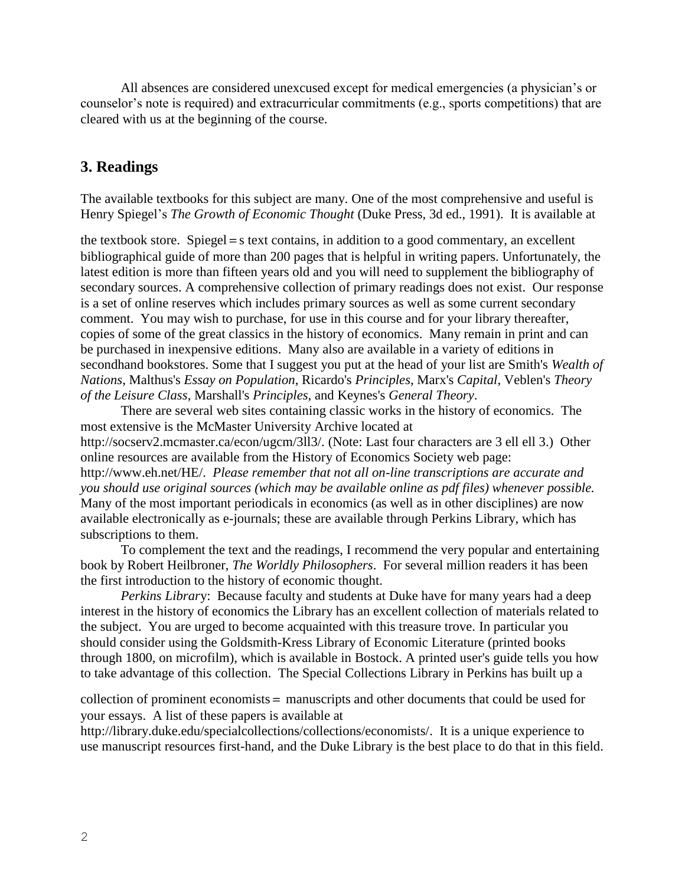All absences are considered unexcused except for medical emergencies (a physician's or counselor's note is required) and extracurricular commitments (e.g., sports competitions) that are cleared with us at the beginning of the course.

# **3. Readings**

The available textbooks for this subject are many. One of the most comprehensive and useful is Henry Spiegel's *The Growth of Economic Thought* (Duke Press, 3d ed., 1991). It is available at

the textbook store. Spiegel=s text contains, in addition to a good commentary, an excellent bibliographical guide of more than 200 pages that is helpful in writing papers. Unfortunately, the latest edition is more than fifteen years old and you will need to supplement the bibliography of secondary sources. A comprehensive collection of primary readings does not exist. Our response is a set of online reserves which includes primary sources as well as some current secondary comment. You may wish to purchase, for use in this course and for your library thereafter, copies of some of the great classics in the history of economics. Many remain in print and can be purchased in inexpensive editions. Many also are available in a variety of editions in secondhand bookstores. Some that I suggest you put at the head of your list are Smith's *Wealth of Nations*, Malthus's *Essay on Population*, Ricardo's *Principles*, Marx's *Capital*, Veblen's *Theory of the Leisure Class*, Marshall's *Principles*, and Keynes's *General Theory*.

There are several web sites containing classic works in the history of economics. The most extensive is the McMaster University Archive located at [http://socserv2.mcmaster.ca/econ/ugcm/3ll3/.](http://socserv2.mcmaster.ca/econ/ugcm/3ll3/) (Note: Last four characters are 3 ell ell 3.) Other online resources are available from the History of Economics Society web page: [http://www.eh.net/HE/.](http://www.eh.net/HE/) *Please remember that not all on-line transcriptions are accurate and you should use original sources (which may be available online as pdf files) whenever possible.* Many of the most important periodicals in economics (as well as in other disciplines) are now available electronically as e-journals; these are available through Perkins Library, which has subscriptions to them.

To complement the text and the readings, I recommend the very popular and entertaining book by Robert Heilbroner, *The Worldly Philosophers*. For several million readers it has been the first introduction to the history of economic thought.

*Perkins Librar*y: Because faculty and students at Duke have for many years had a deep interest in the history of economics the Library has an excellent collection of materials related to the subject. You are urged to become acquainted with this treasure trove. In particular you should consider using the Goldsmith-Kress Library of Economic Literature (printed books through 1800, on microfilm), which is available in Bostock. A printed user's guide tells you how to take advantage of this collection. The Special Collections Library in Perkins has built up a

collection of prominent economists= manuscripts and other documents that could be used for your essays. A list of these papers is available at

http://library.duke.edu/specialcollections/collections/economists/. It is a unique experience to use manuscript resources first-hand, and the Duke Library is the best place to do that in this field.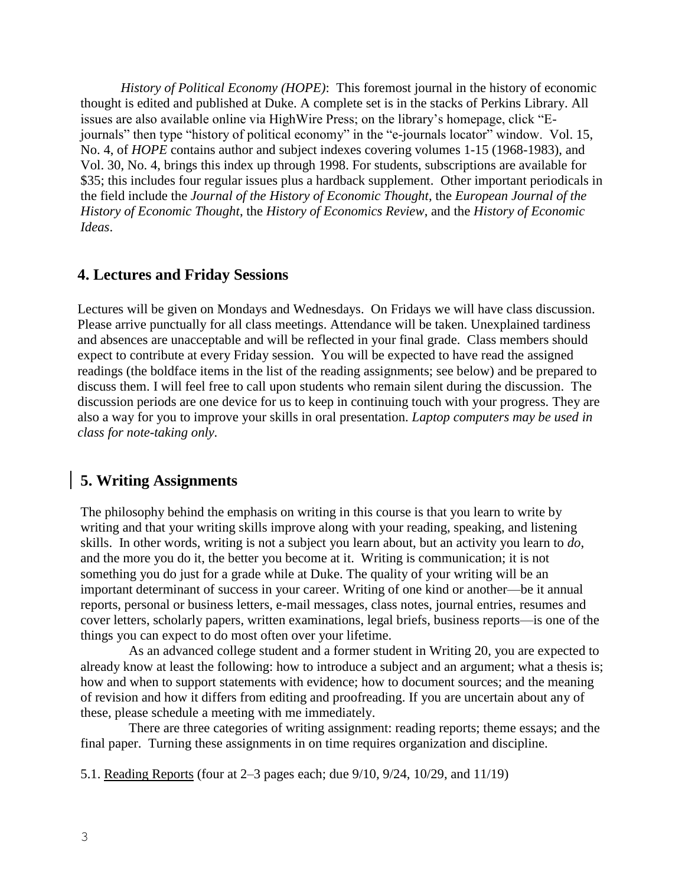*History of Political Economy (HOPE)*: This foremost journal in the history of economic thought is edited and published at Duke. A complete set is in the stacks of Perkins Library. All issues are also available online via HighWire Press; on the library's homepage, click "Ejournals" then type "history of political economy" in the "e-journals locator" window. Vol. 15, No. 4, of *HOPE* contains author and subject indexes covering volumes 1-15 (1968-1983), and Vol. 30, No. 4, brings this index up through 1998. For students, subscriptions are available for \$35; this includes four regular issues plus a hardback supplement. Other important periodicals in the field include the *Journal of the History of Economic Thought*, the *European Journal of the History of Economic Thought*, the *History of Economics Review*, and the *History of Economic Ideas*.

## **4. Lectures and Friday Sessions**

Lectures will be given on Mondays and Wednesdays. On Fridays we will have class discussion. Please arrive punctually for all class meetings. Attendance will be taken. Unexplained tardiness and absences are unacceptable and will be reflected in your final grade. Class members should expect to contribute at every Friday session. You will be expected to have read the assigned readings (the boldface items in the list of the reading assignments; see below) and be prepared to discuss them. I will feel free to call upon students who remain silent during the discussion. The discussion periods are one device for us to keep in continuing touch with your progress. They are also a way for you to improve your skills in oral presentation. *Laptop computers may be used in class for note-taking only.*

### **5. Writing Assignments**

The philosophy behind the emphasis on writing in this course is that you learn to write by writing and that your writing skills improve along with your reading, speaking, and listening skills. In other words, writing is not a subject you learn about, but an activity you learn to *do*, and the more you do it, the better you become at it. Writing is communication; it is not something you do just for a grade while at Duke. The quality of your writing will be an important determinant of success in your career. Writing of one kind or another—be it annual reports, personal or business letters, e-mail messages, class notes, journal entries, resumes and cover letters, scholarly papers, written examinations, legal briefs, business reports—is one of the things you can expect to do most often over your lifetime.

As an advanced college student and a former student in Writing 20, you are expected to already know at least the following: how to introduce a subject and an argument; what a thesis is; how and when to support statements with evidence; how to document sources; and the meaning of revision and how it differs from editing and proofreading. If you are uncertain about any of these, please schedule a meeting with me immediately.

There are three categories of writing assignment: reading reports; theme essays; and the final paper. Turning these assignments in on time requires organization and discipline.

5.1. Reading Reports (four at 2–3 pages each; due 9/10, 9/24, 10/29, and 11/19)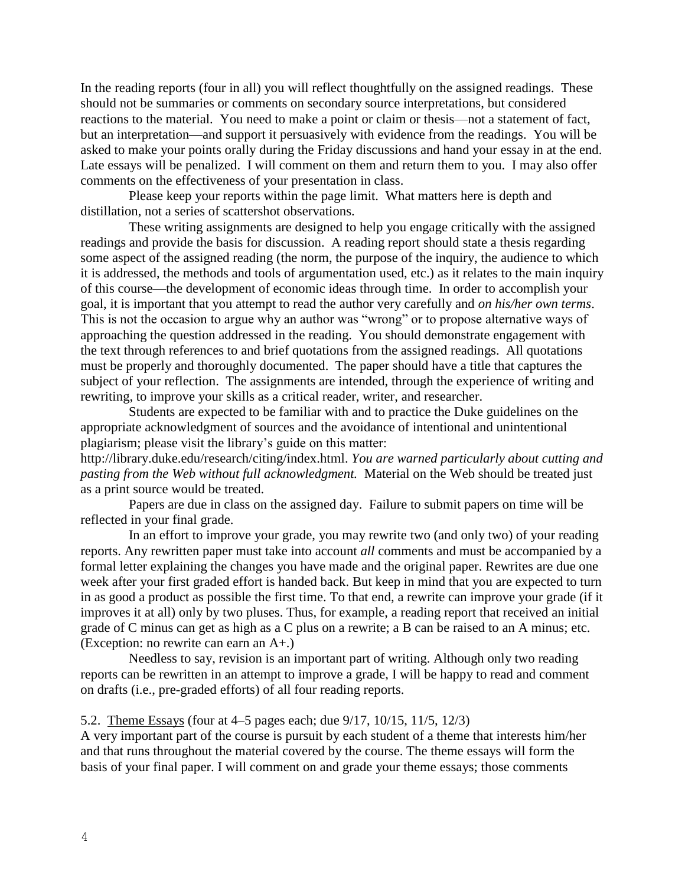In the reading reports (four in all) you will reflect thoughtfully on the assigned readings. These should not be summaries or comments on secondary source interpretations, but considered reactions to the material. You need to make a point or claim or thesis—not a statement of fact, but an interpretation—and support it persuasively with evidence from the readings. You will be asked to make your points orally during the Friday discussions and hand your essay in at the end. Late essays will be penalized. I will comment on them and return them to you. I may also offer comments on the effectiveness of your presentation in class.

 Please keep your reports within the page limit. What matters here is depth and distillation, not a series of scattershot observations.

These writing assignments are designed to help you engage critically with the assigned readings and provide the basis for discussion. A reading report should state a thesis regarding some aspect of the assigned reading (the norm, the purpose of the inquiry, the audience to which it is addressed, the methods and tools of argumentation used, etc.) as it relates to the main inquiry of this course—the development of economic ideas through time. In order to accomplish your goal, it is important that you attempt to read the author very carefully and *on his/her own terms*. This is not the occasion to argue why an author was "wrong" or to propose alternative ways of approaching the question addressed in the reading. You should demonstrate engagement with the text through references to and brief quotations from the assigned readings. All quotations must be properly and thoroughly documented. The paper should have a title that captures the subject of your reflection. The assignments are intended, through the experience of writing and rewriting, to improve your skills as a critical reader, writer, and researcher.

Students are expected to be familiar with and to practice the Duke guidelines on the appropriate acknowledgment of sources and the avoidance of intentional and unintentional plagiarism; please visit the library's guide on this matter:

http://library.duke.edu/research/citing/index.html. *You are warned particularly about cutting and pasting from the Web without full acknowledgment.* Material on the Web should be treated just as a print source would be treated.

Papers are due in class on the assigned day. Failure to submit papers on time will be reflected in your final grade.

In an effort to improve your grade, you may rewrite two (and only two) of your reading reports. Any rewritten paper must take into account *all* comments and must be accompanied by a formal letter explaining the changes you have made and the original paper. Rewrites are due one week after your first graded effort is handed back. But keep in mind that you are expected to turn in as good a product as possible the first time. To that end, a rewrite can improve your grade (if it improves it at all) only by two pluses. Thus, for example, a reading report that received an initial grade of C minus can get as high as a C plus on a rewrite; a B can be raised to an A minus; etc. (Exception: no rewrite can earn an A+.)

Needless to say, revision is an important part of writing. Although only two reading reports can be rewritten in an attempt to improve a grade, I will be happy to read and comment on drafts (i.e., pre-graded efforts) of all four reading reports.

#### 5.2. Theme Essays (four at 4–5 pages each; due 9/17, 10/15, 11/5, 12/3)

A very important part of the course is pursuit by each student of a theme that interests him/her and that runs throughout the material covered by the course. The theme essays will form the basis of your final paper. I will comment on and grade your theme essays; those comments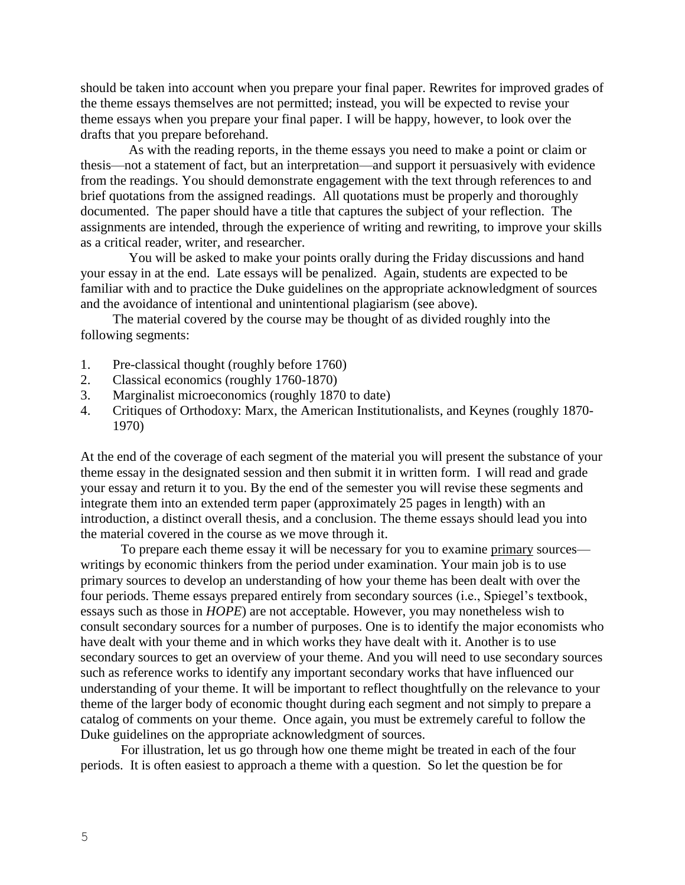should be taken into account when you prepare your final paper. Rewrites for improved grades of the theme essays themselves are not permitted; instead, you will be expected to revise your theme essays when you prepare your final paper. I will be happy, however, to look over the drafts that you prepare beforehand.

As with the reading reports, in the theme essays you need to make a point or claim or thesis—not a statement of fact, but an interpretation—and support it persuasively with evidence from the readings. You should demonstrate engagement with the text through references to and brief quotations from the assigned readings. All quotations must be properly and thoroughly documented. The paper should have a title that captures the subject of your reflection. The assignments are intended, through the experience of writing and rewriting, to improve your skills as a critical reader, writer, and researcher.

You will be asked to make your points orally during the Friday discussions and hand your essay in at the end. Late essays will be penalized. Again, students are expected to be familiar with and to practice the Duke guidelines on the appropriate acknowledgment of sources and the avoidance of intentional and unintentional plagiarism (see above).

The material covered by the course may be thought of as divided roughly into the following segments:

- 1. Pre-classical thought (roughly before 1760)
- 2. Classical economics (roughly 1760-1870)
- 3. Marginalist microeconomics (roughly 1870 to date)
- 4. Critiques of Orthodoxy: Marx, the American Institutionalists, and Keynes (roughly 1870- 1970)

At the end of the coverage of each segment of the material you will present the substance of your theme essay in the designated session and then submit it in written form. I will read and grade your essay and return it to you. By the end of the semester you will revise these segments and integrate them into an extended term paper (approximately 25 pages in length) with an introduction, a distinct overall thesis, and a conclusion. The theme essays should lead you into the material covered in the course as we move through it.

To prepare each theme essay it will be necessary for you to examine primary sources writings by economic thinkers from the period under examination. Your main job is to use primary sources to develop an understanding of how your theme has been dealt with over the four periods. Theme essays prepared entirely from secondary sources (i.e., Spiegel's textbook, essays such as those in *HOPE*) are not acceptable. However, you may nonetheless wish to consult secondary sources for a number of purposes. One is to identify the major economists who have dealt with your theme and in which works they have dealt with it. Another is to use secondary sources to get an overview of your theme. And you will need to use secondary sources such as reference works to identify any important secondary works that have influenced our understanding of your theme. It will be important to reflect thoughtfully on the relevance to your theme of the larger body of economic thought during each segment and not simply to prepare a catalog of comments on your theme. Once again, you must be extremely careful to follow the Duke guidelines on the appropriate acknowledgment of sources.

For illustration, let us go through how one theme might be treated in each of the four periods. It is often easiest to approach a theme with a question. So let the question be for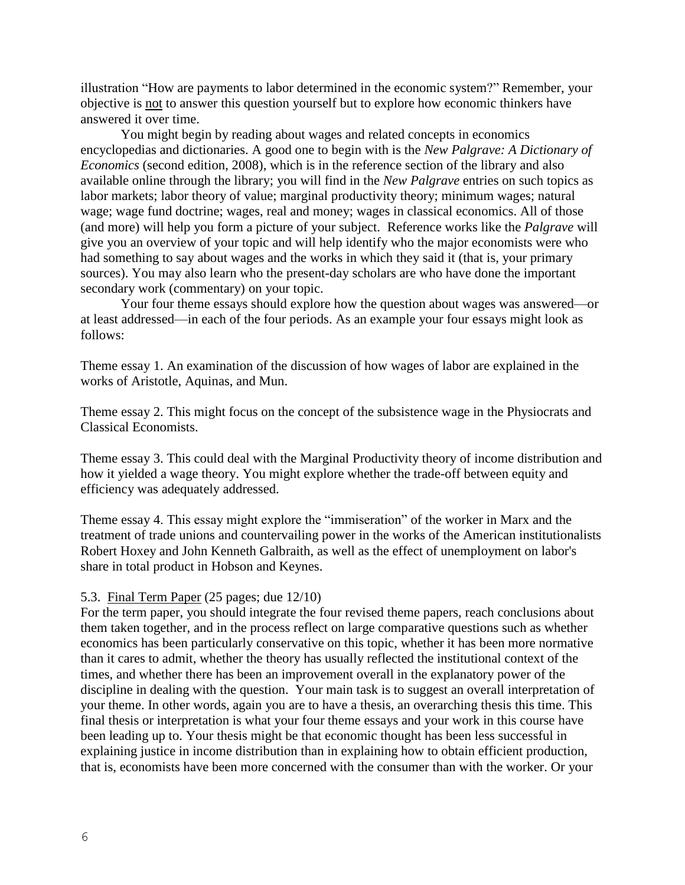illustration "How are payments to labor determined in the economic system?" Remember, your objective is not to answer this question yourself but to explore how economic thinkers have answered it over time.

You might begin by reading about wages and related concepts in economics encyclopedias and dictionaries. A good one to begin with is the *New Palgrave: A Dictionary of Economics* (second edition, 2008), which is in the reference section of the library and also available online through the library; you will find in the *New Palgrave* entries on such topics as labor markets; labor theory of value; marginal productivity theory; minimum wages; natural wage; wage fund doctrine; wages, real and money; wages in classical economics. All of those (and more) will help you form a picture of your subject. Reference works like the *Palgrave* will give you an overview of your topic and will help identify who the major economists were who had something to say about wages and the works in which they said it (that is, your primary sources). You may also learn who the present-day scholars are who have done the important secondary work (commentary) on your topic.

Your four theme essays should explore how the question about wages was answered—or at least addressed—in each of the four periods. As an example your four essays might look as follows:

Theme essay 1. An examination of the discussion of how wages of labor are explained in the works of Aristotle, Aquinas, and Mun.

Theme essay 2. This might focus on the concept of the subsistence wage in the Physiocrats and Classical Economists.

Theme essay 3. This could deal with the Marginal Productivity theory of income distribution and how it yielded a wage theory. You might explore whether the trade-off between equity and efficiency was adequately addressed.

Theme essay 4. This essay might explore the "immiseration" of the worker in Marx and the treatment of trade unions and countervailing power in the works of the American institutionalists Robert Hoxey and John Kenneth Galbraith, as well as the effect of unemployment on labor's share in total product in Hobson and Keynes.

#### 5.3. Final Term Paper (25 pages; due 12/10)

For the term paper, you should integrate the four revised theme papers, reach conclusions about them taken together, and in the process reflect on large comparative questions such as whether economics has been particularly conservative on this topic, whether it has been more normative than it cares to admit, whether the theory has usually reflected the institutional context of the times, and whether there has been an improvement overall in the explanatory power of the discipline in dealing with the question. Your main task is to suggest an overall interpretation of your theme. In other words, again you are to have a thesis, an overarching thesis this time. This final thesis or interpretation is what your four theme essays and your work in this course have been leading up to. Your thesis might be that economic thought has been less successful in explaining justice in income distribution than in explaining how to obtain efficient production, that is, economists have been more concerned with the consumer than with the worker. Or your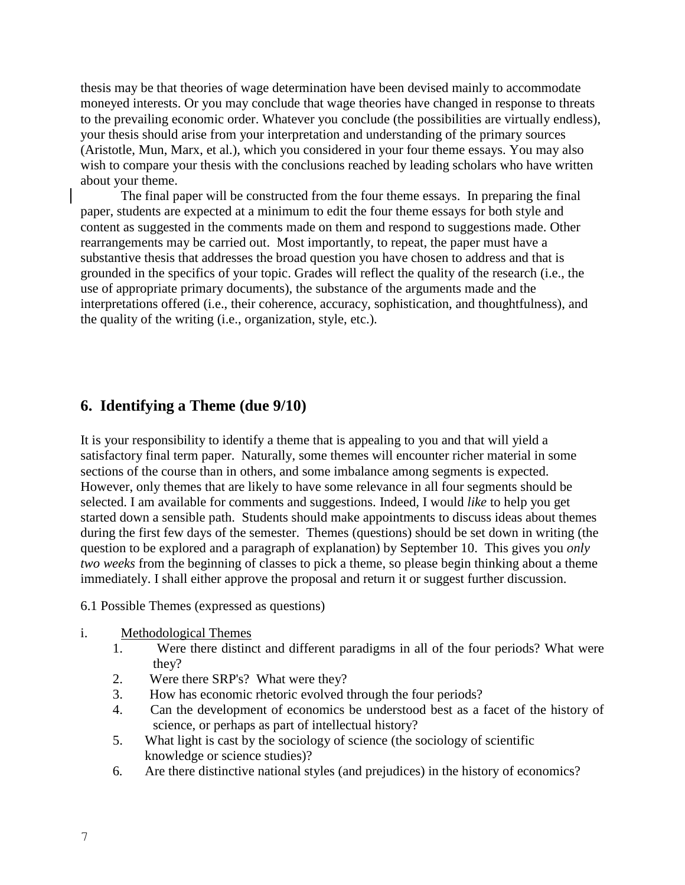thesis may be that theories of wage determination have been devised mainly to accommodate moneyed interests. Or you may conclude that wage theories have changed in response to threats to the prevailing economic order. Whatever you conclude (the possibilities are virtually endless), your thesis should arise from your interpretation and understanding of the primary sources (Aristotle, Mun, Marx, et al.), which you considered in your four theme essays. You may also wish to compare your thesis with the conclusions reached by leading scholars who have written about your theme.

The final paper will be constructed from the four theme essays. In preparing the final paper, students are expected at a minimum to edit the four theme essays for both style and content as suggested in the comments made on them and respond to suggestions made. Other rearrangements may be carried out. Most importantly, to repeat, the paper must have a substantive thesis that addresses the broad question you have chosen to address and that is grounded in the specifics of your topic. Grades will reflect the quality of the research (i.e., the use of appropriate primary documents), the substance of the arguments made and the interpretations offered (i.e., their coherence, accuracy, sophistication, and thoughtfulness), and the quality of the writing (i.e., organization, style, etc.).

### **6. Identifying a Theme (due 9/10)**

It is your responsibility to identify a theme that is appealing to you and that will yield a satisfactory final term paper. Naturally, some themes will encounter richer material in some sections of the course than in others, and some imbalance among segments is expected. However, only themes that are likely to have some relevance in all four segments should be selected. I am available for comments and suggestions. Indeed, I would *like* to help you get started down a sensible path. Students should make appointments to discuss ideas about themes during the first few days of the semester. Themes (questions) should be set down in writing (the question to be explored and a paragraph of explanation) by September 10. This gives you *only two weeks* from the beginning of classes to pick a theme, so please begin thinking about a theme immediately. I shall either approve the proposal and return it or suggest further discussion.

6.1 Possible Themes (expressed as questions)

- i. Methodological Themes
	- 1. Were there distinct and different paradigms in all of the four periods? What were they?
	- 2. Were there SRP's? What were they?
	- 3. How has economic rhetoric evolved through the four periods?
	- 4. Can the development of economics be understood best as a facet of the history of science, or perhaps as part of intellectual history?
	- 5. What light is cast by the sociology of science (the sociology of scientific knowledge or science studies)?
	- 6*.* Are there distinctive national styles (and prejudices) in the history of economics?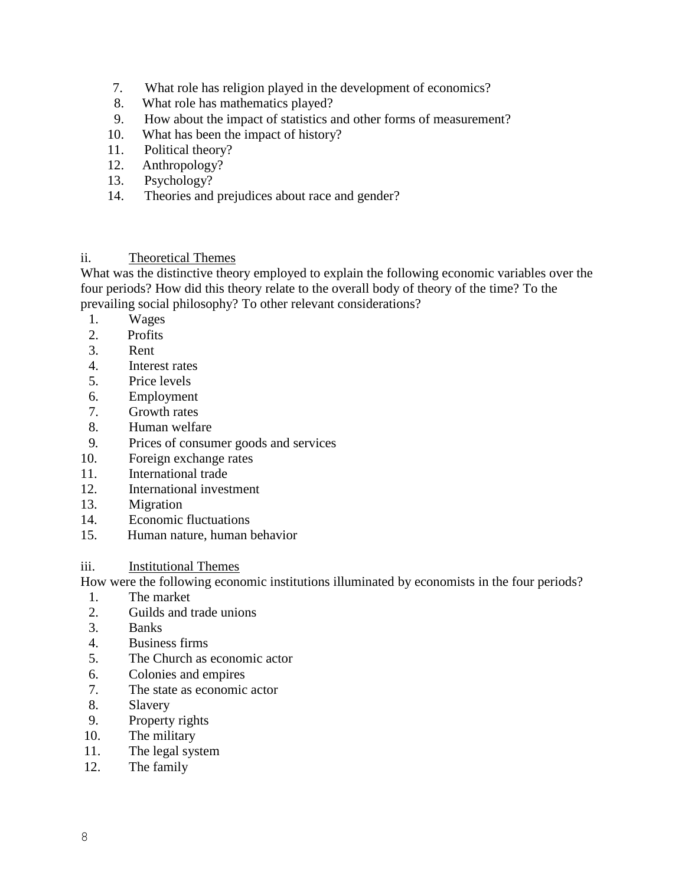- 7. What role has religion played in the development of economics?
- 8. What role has mathematics played?
- 9. How about the impact of statistics and other forms of measurement?
- 10. What has been the impact of history?
- 11. Political theory?
- 12. Anthropology?
- 13. Psychology?
- 14. Theories and prejudices about race and gender?

### ii. Theoretical Themes

What was the distinctive theory employed to explain the following economic variables over the four periods? How did this theory relate to the overall body of theory of the time? To the prevailing social philosophy? To other relevant considerations?

- 1. Wages
- 2. Profits
- 3. Rent
- 4. Interest rates
- 5. Price levels
- 6. Employment
- 7. Growth rates
- 8. Human welfare
- 9*.* Prices of consumer goods and services
- 10. Foreign exchange rates
- 11. International trade
- 12. International investment
- 13. Migration
- 14. Economic fluctuations
- 15. Human nature, human behavior

#### iii. Institutional Themes

How were the following economic institutions illuminated by economists in the four periods?

- 1. The market
- 2. Guilds and trade unions
- 3. Banks
- 4. Business firms
- 5. The Church as economic actor
- 6. Colonies and empires
- 7. The state as economic actor
- 8. Slavery
- 9. Property rights
- 10. The military
- 11. The legal system
- 12. The family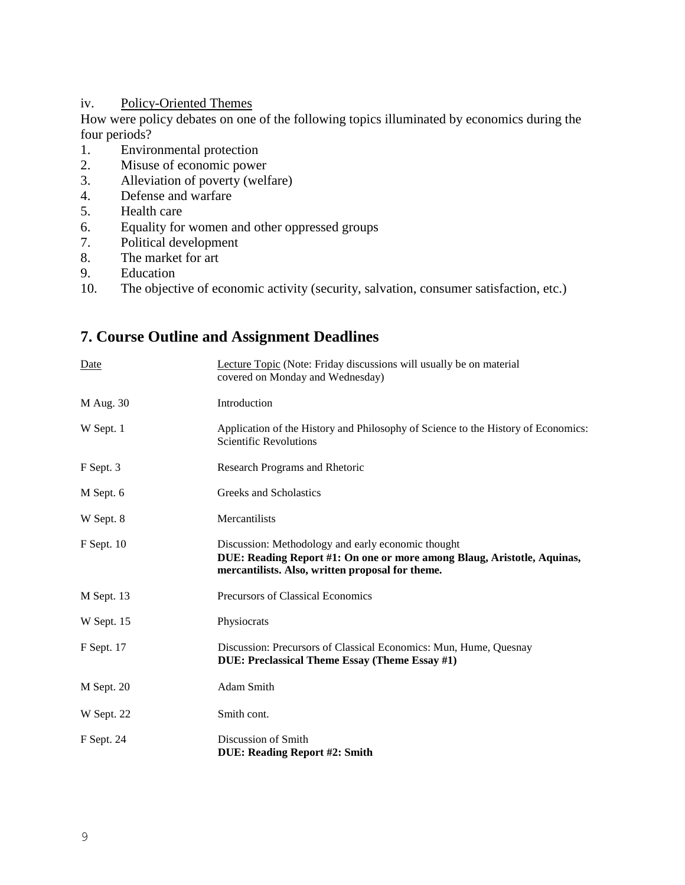#### iv. Policy-Oriented Themes

How were policy debates on one of the following topics illuminated by economics during the four periods?

- 1. Environmental protection
- 2. Misuse of economic power
- 3. Alleviation of poverty (welfare)
- 4. Defense and warfare
- 5. Health care
- 6. Equality for women and other oppressed groups
- 7. Political development
- 8. The market for art
- 9. Education
- 10. The objective of economic activity (security, salvation, consumer satisfaction, etc.)

# **7. Course Outline and Assignment Deadlines**

| Date       | <b>Lecture Topic (Note: Friday discussions will usually be on material</b><br>covered on Monday and Wednesday)                                                                    |
|------------|-----------------------------------------------------------------------------------------------------------------------------------------------------------------------------------|
| M Aug. 30  | Introduction                                                                                                                                                                      |
| W Sept. 1  | Application of the History and Philosophy of Science to the History of Economics:<br>Scientific Revolutions                                                                       |
| F Sept. 3  | Research Programs and Rhetoric                                                                                                                                                    |
| M Sept. 6  | Greeks and Scholastics                                                                                                                                                            |
| W Sept. 8  | Mercantilists                                                                                                                                                                     |
| F Sept. 10 | Discussion: Methodology and early economic thought<br>DUE: Reading Report #1: On one or more among Blaug, Aristotle, Aquinas,<br>mercantilists. Also, written proposal for theme. |
| M Sept. 13 | Precursors of Classical Economics                                                                                                                                                 |
| W Sept. 15 | Physiocrats                                                                                                                                                                       |
| F Sept. 17 | Discussion: Precursors of Classical Economics: Mun, Hume, Quesnay<br>DUE: Preclassical Theme Essay (Theme Essay #1)                                                               |
| M Sept. 20 | Adam Smith                                                                                                                                                                        |
| W Sept. 22 | Smith cont.                                                                                                                                                                       |
| F Sept. 24 | Discussion of Smith<br><b>DUE: Reading Report #2: Smith</b>                                                                                                                       |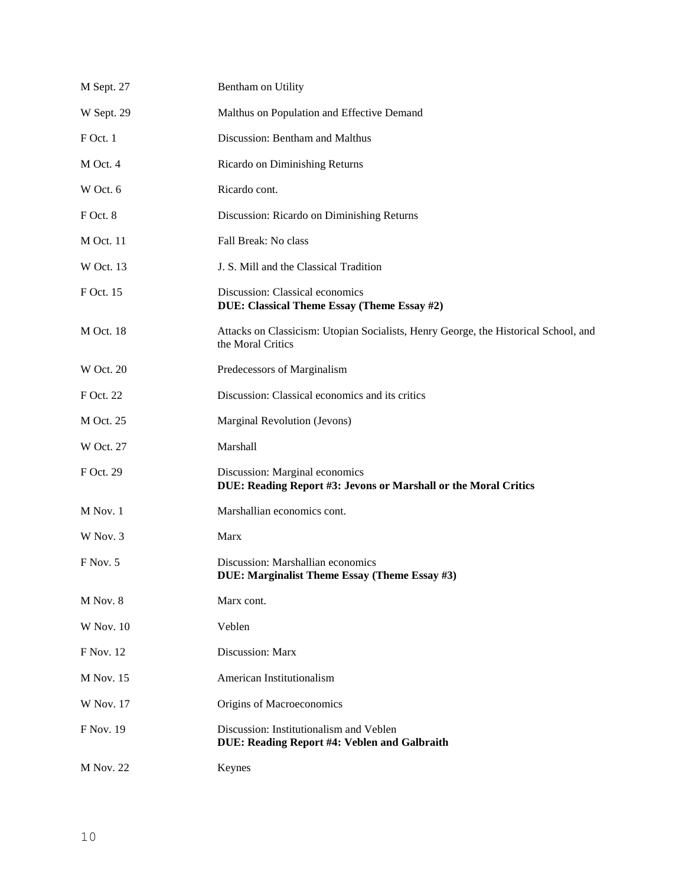| M Sept. 27       | Bentham on Utility                                                                                       |
|------------------|----------------------------------------------------------------------------------------------------------|
| W Sept. 29       | Malthus on Population and Effective Demand                                                               |
| F Oct. 1         | Discussion: Bentham and Malthus                                                                          |
| M Oct. 4         | Ricardo on Diminishing Returns                                                                           |
| W Oct. 6         | Ricardo cont.                                                                                            |
| F Oct. 8         | Discussion: Ricardo on Diminishing Returns                                                               |
| <b>M Oct. 11</b> | Fall Break: No class                                                                                     |
| W Oct. 13        | J. S. Mill and the Classical Tradition                                                                   |
| F Oct. 15        | Discussion: Classical economics<br>DUE: Classical Theme Essay (Theme Essay #2)                           |
| <b>M</b> Oct. 18 | Attacks on Classicism: Utopian Socialists, Henry George, the Historical School, and<br>the Moral Critics |
| <b>W</b> Oct. 20 | Predecessors of Marginalism                                                                              |
| F Oct. 22        | Discussion: Classical economics and its critics                                                          |
| M Oct. 25        | Marginal Revolution (Jevons)                                                                             |
| <b>W</b> Oct. 27 | Marshall                                                                                                 |
| F Oct. 29        | Discussion: Marginal economics<br>DUE: Reading Report #3: Jevons or Marshall or the Moral Critics        |
| M Nov. 1         | Marshallian economics cont.                                                                              |
| W Nov. 3         | Marx                                                                                                     |
| F Nov. 5         | Discussion: Marshallian economics<br>DUE: Marginalist Theme Essay (Theme Essay #3)                       |
| M Nov. 8         | Marx cont.                                                                                               |
| <b>W</b> Nov. 10 | Veblen                                                                                                   |
| <b>F</b> Nov. 12 | Discussion: Marx                                                                                         |
| <b>M</b> Nov. 15 | American Institutionalism                                                                                |
| <b>W</b> Nov. 17 | Origins of Macroeconomics                                                                                |
| F Nov. 19        | Discussion: Institutionalism and Veblen<br>DUE: Reading Report #4: Veblen and Galbraith                  |
| <b>M Nov. 22</b> | Keynes                                                                                                   |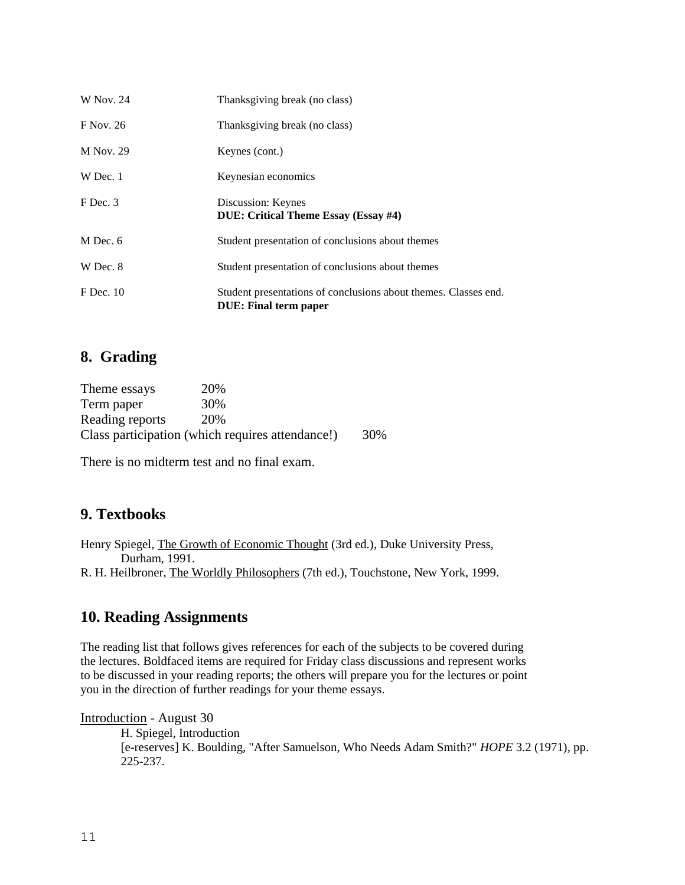| <b>W</b> Nov. 24 | Thanksgiving break (no class)                                                                   |
|------------------|-------------------------------------------------------------------------------------------------|
| F Nov. 26        | Thanksgiving break (no class)                                                                   |
| <b>M</b> Nov. 29 | Keynes (cont.)                                                                                  |
| W Dec. 1         | Keynesian economics                                                                             |
| $F$ Dec. 3       | Discussion: Keynes<br><b>DUE: Critical Theme Essay (Essay #4)</b>                               |
| M Dec. 6         | Student presentation of conclusions about themes                                                |
| W Dec. 8         | Student presentation of conclusions about themes                                                |
| $F$ Dec. 10      | Student presentations of conclusions about themes. Classes end.<br><b>DUE:</b> Final term paper |

## **8. Grading**

| Theme essays    | 20%                                              |     |
|-----------------|--------------------------------------------------|-----|
| Term paper      | 30%                                              |     |
| Reading reports | 20%                                              |     |
|                 | Class participation (which requires attendance!) | 30% |

There is no midterm test and no final exam.

# **9. Textbooks**

Henry Spiegel, The Growth of Economic Thought (3rd ed.), Duke University Press, Durham, 1991. R. H. Heilbroner, The Worldly Philosophers (7th ed.), Touchstone, New York, 1999.

# **10. Reading Assignments**

The reading list that follows gives references for each of the subjects to be covered during the lectures. Boldfaced items are required for Friday class discussions and represent works to be discussed in your reading reports; the others will prepare you for the lectures or point you in the direction of further readings for your theme essays.

Introduction - August 30

H. Spiegel, Introduction [e-reserves] K. Boulding, "After Samuelson, Who Needs Adam Smith?" *HOPE* 3.2 (1971), pp. 225-237.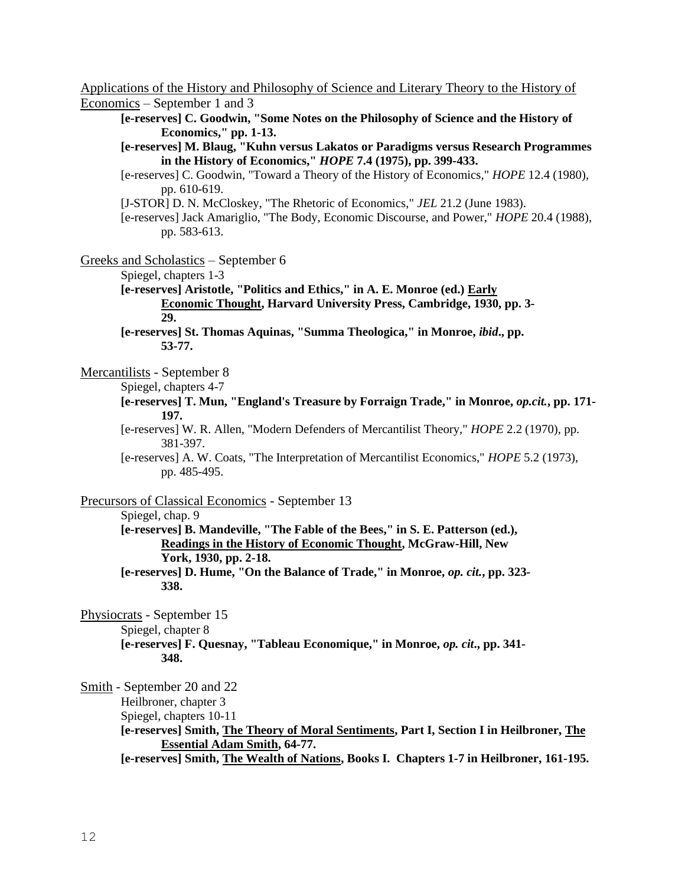Applications of the History and Philosophy of Science and Literary Theory to the History of Economics – September 1 and 3

**[e-reserves] C. Goodwin, "Some Notes on the Philosophy of Science and the History of Economics," pp. 1-13.**

**[e-reserves] M. Blaug, "Kuhn versus Lakatos or Paradigms versus Research Programmes in the History of Economics,"** *HOPE* **7.4 (1975), pp. 399-433.**

[e-reserves] C. Goodwin, "Toward a Theory of the History of Economics," *HOPE* 12.4 (1980), pp. 610-619.

[J-STOR] D. N. McCloskey, "The Rhetoric of Economics," *JEL* 21.2 (June 1983).

[e-reserves] Jack Amariglio, "The Body, Economic Discourse, and Power," *HOPE* 20.4 (1988), pp. 583-613.

Greeks and Scholastics – September 6

Spiegel, chapters 1-3

**[e-reserves] Aristotle, "Politics and Ethics," in A. E. Monroe (ed.) Early**

**Economic Thought, Harvard University Press, Cambridge, 1930, pp. 3- 29.**

**[e-reserves] St. Thomas Aquinas, "Summa Theologica," in Monroe,** *ibid***., pp. 53-77.**

Mercantilists - September 8

Spiegel, chapters 4-7

- **[e-reserves] T. Mun, "England's Treasure by Forraign Trade," in Monroe,** *op.cit.***, pp. 171- 197.**
- [e-reserves] W. R. Allen, "Modern Defenders of Mercantilist Theory," *HOPE* 2.2 (1970), pp. 381-397.
- [e-reserves] A. W. Coats, "The Interpretation of Mercantilist Economics," *HOPE* 5.2 (1973), pp. 485-495.

Precursors of Classical Economics - September 13

Spiegel, chap. 9

**[e-reserves] B. Mandeville, "The Fable of the Bees," in S. E. Patterson (ed.), Readings in the History of Economic Thought, McGraw-Hill, New York, 1930, pp. 2-18.**

**[e-reserves] D. Hume, "On the Balance of Trade," in Monroe,** *op. cit.***, pp. 323- 338.**

Physiocrats - September 15

Spiegel, chapter 8

**[e-reserves] F. Quesnay, "Tableau Economique," in Monroe,** *op. cit***., pp. 341- 348.**

Smith - September 20 and 22

Heilbroner, chapter 3

Spiegel, chapters 10-11

**[e-reserves] Smith, The Theory of Moral Sentiments, Part I, Section I in Heilbroner, The Essential Adam Smith, 64-77.**

**[e-reserves] Smith, The Wealth of Nations, Books I. Chapters 1-7 in Heilbroner, 161-195.**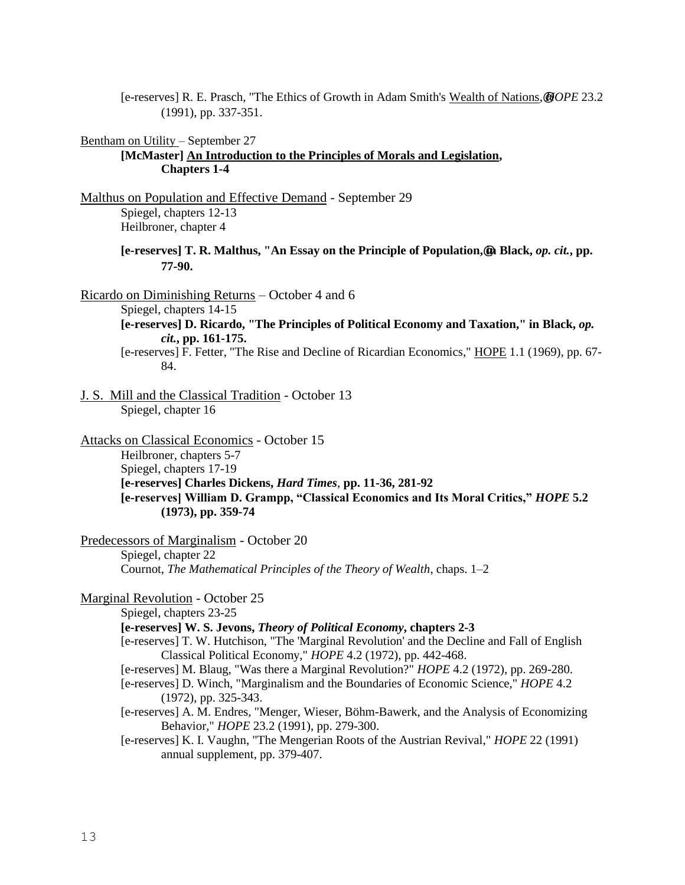[e-reserves] R. E. Prasch, "The Ethics of Growth in Adam Smith's Wealth of Nations, @OPE 23.2 (1991), pp. 337-351.

Bentham on Utility – September 27

#### **[McMaster] An Introduction to the Principles of Morals and Legislation, Chapters 1-4**

Malthus on Population and Effective Demand - September 29 Spiegel, chapters 12-13 Heilbroner, chapter 4

#### **[e-reserves] T. R. Malthus, "An Essay on the Principle of Population,@in Black,** *op. cit.***, pp. 77-90.**

Ricardo on Diminishing Returns – October 4 and 6

Spiegel, chapters 14-15

**[e-reserves] D. Ricardo, "The Principles of Political Economy and Taxation," in Black,** *op. cit.***, pp. 161-175.**

[e-reserves] F. Fetter, "The Rise and Decline of Ricardian Economics," HOPE 1.1 (1969), pp. 67- 84.

J. S. Mill and the Classical Tradition - October 13 Spiegel, chapter 16

Attacks on Classical Economics - October 15 Heilbroner, chapters 5-7 Spiegel, chapters 17-19 **[e-reserves] Charles Dickens,** *Hard Times*, **pp. 11-36, 281-92 [e-reserves] William D. Grampp, "Classical Economics and Its Moral Critics,"** *HOPE* **5.2 (1973), pp. 359-74**

Predecessors of Marginalism - October 20 Spiegel, chapter 22 Cournot, *The Mathematical Principles of the Theory of Wealth*, chaps. 1–2

#### Marginal Revolution - October 25

Spiegel, chapters 23-25

**[e-reserves] W. S. Jevons,** *Theory of Political Economy***, chapters 2-3**

[e-reserves] T. W. Hutchison, "The 'Marginal Revolution' and the Decline and Fall of English Classical Political Economy," *HOPE* 4.2 (1972), pp. 442-468.

- [e-reserves] M. Blaug, "Was there a Marginal Revolution?" *HOPE* 4.2 (1972), pp. 269-280.
- [e-reserves] D. Winch, "Marginalism and the Boundaries of Economic Science," *HOPE* 4.2 (1972), pp. 325-343.
- [e-reserves] A. M. Endres, "Menger, Wieser, Böhm-Bawerk, and the Analysis of Economizing Behavior," *HOPE* 23.2 (1991), pp. 279-300.
- [e-reserves] K. I. Vaughn, "The Mengerian Roots of the Austrian Revival," *HOPE* 22 (1991) annual supplement, pp. 379-407.